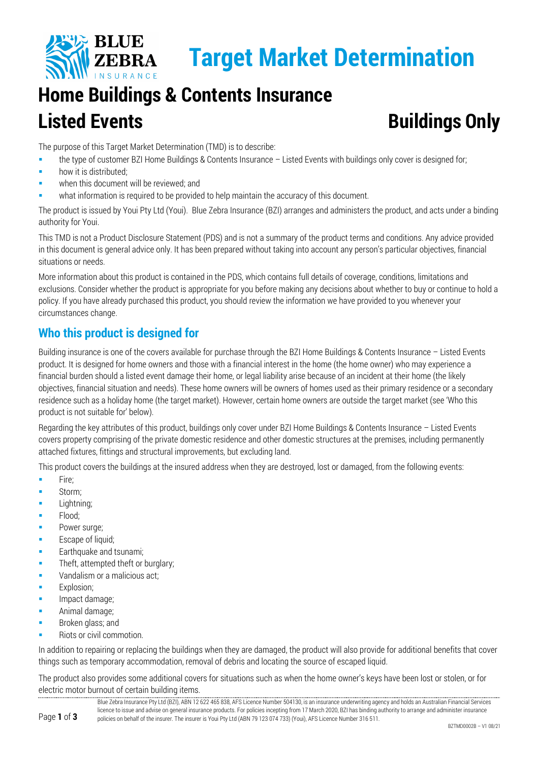

# **Target Market Determination**

## **Home Buildings & Contents Insurance Listed Events Buildings Only**

The purpose of this Target Market Determination (TMD) is to describe:

- the type of customer BZI Home Buildings & Contents Insurance Listed Events with buildings only cover is designed for;
- **how it is distributed;**
- when this document will be reviewed; and
- what information is required to be provided to help maintain the accuracy of this document.

The product is issued by Youi Pty Ltd (Youi). Blue Zebra Insurance (BZI) arranges and administers the product, and acts under a binding authority for Youi.

This TMD is not a Product Disclosure Statement (PDS) and is not a summary of the product terms and conditions. Any advice provided in this document is general advice only. It has been prepared without taking into account any person's particular objectives, financial situations or needs.

More information about this product is contained in the PDS, which contains full details of coverage, conditions, limitations and exclusions. Consider whether the product is appropriate for you before making any decisions about whether to buy or continue to hold a policy. If you have already purchased this product, you should review the information we have provided to you whenever your circumstances change.

### **Who this product is designed for**

Building insurance is one of the covers available for purchase through the BZI Home Buildings & Contents Insurance – Listed Events product. It is designed for home owners and those with a financial interest in the home (the home owner) who may experience a financial burden should a listed event damage their home, or legal liability arise because of an incident at their home (the likely objectives, financial situation and needs). These home owners will be owners of homes used as their primary residence or a secondary residence such as a holiday home (the target market). However, certain home owners are outside the target market (see 'Who this product is not suitable for' below).

Regarding the key attributes of this product, buildings only cover under BZI Home Buildings & Contents Insurance – Listed Events covers property comprising of the private domestic residence and other domestic structures at the premises, including permanently attached fixtures, fittings and structural improvements, but excluding land.

This product covers the buildings at the insured address when they are destroyed, lost or damaged, from the following events:

- $Fire:$
- **Storm**;
- **Lightning**;
- Flood;
- Power surge;
- Escape of liquid;
- Earthquake and tsunami;
- **Theft, attempted theft or burglary;**
- **Vandalism or a malicious act;**
- Explosion;
- Impact damage;
- Animal damage;
- Broken glass; and
- Riots or civil commotion.

In addition to repairing or replacing the buildings when they are damaged, the product will also provide for additional benefits that cover things such as temporary accommodation, removal of debris and locating the source of escaped liquid.

The product also provides some additional covers for situations such as when the home owner's keys have been lost or stolen, or for electric motor burnout of certain building items.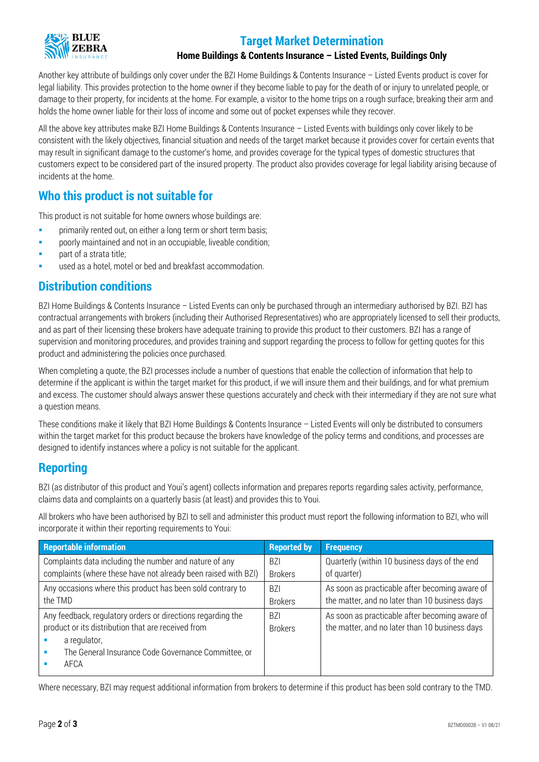

#### **Target Market Determination**

#### **Home Buildings & Contents Insurance – Listed Events, Buildings Only**

Another key attribute of buildings only cover under the BZI Home Buildings & Contents Insurance – Listed Events product is cover for legal liability. This provides protection to the home owner if they become liable to pay for the death of or injury to unrelated people, or damage to their property, for incidents at the home. For example, a visitor to the home trips on a rough surface, breaking their arm and holds the home owner liable for their loss of income and some out of pocket expenses while they recover.

All the above key attributes make BZI Home Buildings & Contents Insurance – Listed Events with buildings only cover likely to be consistent with the likely objectives, financial situation and needs of the target market because it provides cover for certain events that may result in significant damage to the customer's home, and provides coverage for the typical types of domestic structures that customers expect to be considered part of the insured property. The product also provides coverage for legal liability arising because of incidents at the home.

#### **Who this product is not suitable for**

This product is not suitable for home owners whose buildings are:

- **Part is example to primarily rented out, on either a long term or short term basis;**
- poorly maintained and not in an occupiable, liveable condition;
- part of a strata title;
- used as a hotel, motel or bed and breakfast accommodation.

#### **Distribution conditions**

BZI Home Buildings & Contents Insurance – Listed Events can only be purchased through an intermediary authorised by BZI. BZI has contractual arrangements with brokers (including their Authorised Representatives) who are appropriately licensed to sell their products, and as part of their licensing these brokers have adequate training to provide this product to their customers. BZI has a range of supervision and monitoring procedures, and provides training and support regarding the process to follow for getting quotes for this product and administering the policies once purchased.

When completing a quote, the BZI processes include a number of questions that enable the collection of information that help to determine if the applicant is within the target market for this product, if we will insure them and their buildings, and for what premium and excess. The customer should always answer these questions accurately and check with their intermediary if they are not sure what a question means.

These conditions make it likely that BZI Home Buildings & Contents Insurance – Listed Events will only be distributed to consumers within the target market for this product because the brokers have knowledge of the policy terms and conditions, and processes are designed to identify instances where a policy is not suitable for the applicant.

#### **Reporting**

BZI (as distributor of this product and Youi's agent) collects information and prepares reports regarding sales activity, performance, claims data and complaints on a quarterly basis (at least) and provides this to Youi.

All brokers who have been authorised by BZI to sell and administer this product must report the following information to BZI, who will incorporate it within their reporting requirements to Youi:

| <b>Reportable information</b>                                                                                                                                                                    | <b>Reported by</b>               | <b>Frequency</b>                                                                                 |
|--------------------------------------------------------------------------------------------------------------------------------------------------------------------------------------------------|----------------------------------|--------------------------------------------------------------------------------------------------|
| Complaints data including the number and nature of any                                                                                                                                           | <b>BZI</b>                       | Quarterly (within 10 business days of the end                                                    |
| complaints (where these have not already been raised with BZI)                                                                                                                                   | <b>Brokers</b>                   | of quarter)                                                                                      |
| Any occasions where this product has been sold contrary to                                                                                                                                       | BZI                              | As soon as practicable after becoming aware of                                                   |
| the TMD                                                                                                                                                                                          | <b>Brokers</b>                   | the matter, and no later than 10 business days                                                   |
| Any feedback, regulatory orders or directions regarding the<br>product or its distribution that are received from<br>a regulator,<br>The General Insurance Code Governance Committee, or<br>AFCA | B <sub>7</sub><br><b>Brokers</b> | As soon as practicable after becoming aware of<br>the matter, and no later than 10 business days |

Where necessary, BZI may request additional information from brokers to determine if this product has been sold contrary to the TMD.